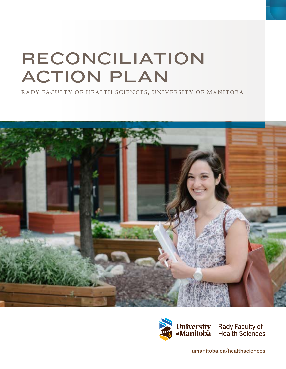# RECONCILIATION ACTION PLAN

RADY FACULTY OF HEALTH SCIENCES, UNIVERSITY OF MANITOBA





[umanitoba.ca/healthsciences](http://umanitoba.ca/healthsciences)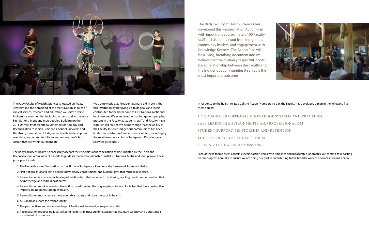The Rady Faculty of Health Sciences fully accepts the Principles of Reconciliation as documented by the Truth and Reconciliation Commission of Canada to guide its renewed relationships with First Nations, Metis, and Inuit people. These principles include:

- 1. The United Nations Declaration on the Rights of Indigenous Peoples is the framework for reconciliation.
- 2. First Nations, Inuit and Metis peoples have Treaty, constitutional and human rights that must be respected.
- 3. Reconciliation is a process of healing of relationships that requires truth sharing, apology, and commemoration that acknowledge and redress past harms.
- 4. Reconciliation requires constructive action on addressing the ongoing legacies of colonialism that have destructive impacts on Indigenous poeples' health.
- 5. Reconciliation must create a more equitable society and close the gaps in health.
- 6. All Canadians share the responsibility.
- 7. The perspectives and understandings of Traditional Knowledge Keepers are vital.
- 8. Reconciliation requires political will, joint leadership, trust building, accountability, transparency and a substantial investment of resources.

In response to the health-related Calls to Action (Numbers 18-24), the Faculty has developed a plan in the following five theme areas:

HONOURING TRADITIONAL KNOWLEDGE SYSTEMS AND PRACTICES SAFE LEARNING ENVIRONMENTS AND PROFESSIONALISM STUDENT SUPPORT, MENTORSHIP AND RETENTION EDUCATION ACROSS THE SPECTRUM CLOSING THE GAP IN ADMISSIONS

Each of these theme areas contains specific action items with timelines and measurable landmarks. We commit to reporting on our progress annually to ensure we are doing our part in contributing to the broader work of Reconciliation in Canada.





The Rady Faculty of Health Sciences is located on Treaty 1 Territory and the homeland of the Metis Nation. In roles of clinical service, research and education we serve diverse Indigenous communities including urban, rural and remote First Nations, Metis and Inuit peoples. Building on the 2011 University of Manitoba Statement of Apology and Reconciliation to Indian Residential School Survivors and the strong foundation of Indigenous health leadership built over time, we commit to fully implementing the Calls to Action that are within our mandate.

We acknowledge, as President Barnard did in 2011, that this Institution by not living up to its goals and ideals contributed to the harm done to First Nations, Metis and Inuit peoples. We acknowledge that Indigenous peoples, present in the Faculty as students, staff and Faculty, have experienced racism. We acknowledge that the ability of the Faculty to serve Indigenous communities has been limited by institutional and epistemic racism, including by the relative undervaluing of Indigenous Knowledge and Knowledge Keepers.

The Rady Faculty of Health Sciences has developed this Reconciliation Action Plan with input from approximately 100 Faculty, staff and students, input from Indigenous community leaders, and engagement with Knowledge Keepers. The Action Plan will be a living, breathing document and we believe that the mutually respectful, rightsbased relationship between the Faculty and the Indigenous communities it serves is the most important outcome.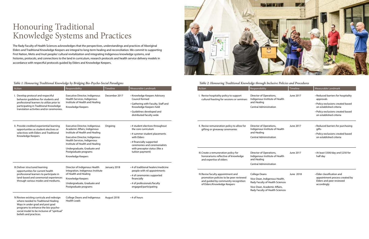| Action                                                                                                                                                                                                                                | Responsibility                                                                                                                                                           | Timeline      | Measurable Landmark                                                                                                                                                        | Action                                                                                                  | Responsibility                                              |
|---------------------------------------------------------------------------------------------------------------------------------------------------------------------------------------------------------------------------------------|--------------------------------------------------------------------------------------------------------------------------------------------------------------------------|---------------|----------------------------------------------------------------------------------------------------------------------------------------------------------------------------|---------------------------------------------------------------------------------------------------------|-------------------------------------------------------------|
| I. Develop protocol and respectful<br>behavior guidelines for students and<br>professional learners to utilize prior to<br>participating in Traditional Knowledge<br>translation activities and/or ceremonies.                        | Executive Director, Indigenous<br>Health Services, Indigenous<br>Institute of Health and Healing<br>Knowledge Keepers                                                    | December 2017 | • Knowledge Keepers Advisory<br>Council formed                                                                                                                             | I. Revise hospitality policy to support<br>cultural feasting for sessions or seminars                   | Director of Operation<br>Indigenous Institut                |
|                                                                                                                                                                                                                                       |                                                                                                                                                                          |               | · Gathering with Faculty, Staff and<br>Knowledge Keepers held                                                                                                              |                                                                                                         | and Healing<br>Central Administrat                          |
|                                                                                                                                                                                                                                       |                                                                                                                                                                          |               | · Guidelines developed and<br>distributed faculty wide                                                                                                                     |                                                                                                         |                                                             |
| II. Provide credited experiential learning<br>opportunities as student electives or                                                                                                                                                   | Executive Director, Indigenous<br>Academic Affairs, Indigenous                                                                                                           | Ongoing       | • # student electives throughout<br>the core curriculum                                                                                                                    | II. Revise remuneration policy to allow for<br>gifting or giveaway ceremonies                           | Director of Operation<br>Indigenous Institut                |
| selectives with Elders and Traditional<br>Knowledge Keepers                                                                                                                                                                           | Institute of Health and Healing                                                                                                                                          |               | • # summer student placements                                                                                                                                              |                                                                                                         | and Healing                                                 |
|                                                                                                                                                                                                                                       | Executive Director, Indigenous<br>Health Services, Indigenous<br>Institute of Health and Healing<br>Undergraduate, Graduate and<br>Postgraduate programs                 |               | with Elders                                                                                                                                                                |                                                                                                         | Central Administrat                                         |
|                                                                                                                                                                                                                                       |                                                                                                                                                                          |               | • # financially supported<br>ceremonies and ceremonialists<br>with preceptor status (like a<br>tuition payment)                                                            |                                                                                                         |                                                             |
|                                                                                                                                                                                                                                       |                                                                                                                                                                          |               |                                                                                                                                                                            |                                                                                                         |                                                             |
|                                                                                                                                                                                                                                       | Knowledge Keepers                                                                                                                                                        |               |                                                                                                                                                                            | III. Create a remuneration policy for<br>honorariums reflective of knowledge<br>and expertise of elders | Director of Operation<br>Indigenous Institut<br>and Healing |
|                                                                                                                                                                                                                                       |                                                                                                                                                                          |               |                                                                                                                                                                            |                                                                                                         | Central Administrat                                         |
| III. Deliver structured learning<br>opportunities for current health                                                                                                                                                                  | Director of Indigenous Health<br>Integration, Indigenous Institute<br>of Health and Healing<br>Knowledge Keepers<br>Undergraduate, Graduate and<br>Postgraduate programs | January 2018  | • # of traditional healers/medicine<br>people with nil appointments<br>• # of ceremonies supported<br>financially<br>• # of professionals/faculty<br>engaged/participating |                                                                                                         |                                                             |
| professional learners to participate in<br>land-based and ceremonial experiences                                                                                                                                                      |                                                                                                                                                                          |               |                                                                                                                                                                            | IV. Revise faculty appointment and                                                                      | <b>College Deans</b>                                        |
| through various modes and mediums.                                                                                                                                                                                                    |                                                                                                                                                                          |               |                                                                                                                                                                            | promotion policies to be peer reviewed<br>and guided by community recognition                           | Vice-Dean, Indigen<br>Rady Faculty of Hea                   |
|                                                                                                                                                                                                                                       |                                                                                                                                                                          |               |                                                                                                                                                                            | of Elders/Knowledge Keepers                                                                             | Vice-Dean, Academ                                           |
|                                                                                                                                                                                                                                       |                                                                                                                                                                          |               |                                                                                                                                                                            |                                                                                                         | Rady Faculty of Hea                                         |
| IV. Review existing curricula and redesign<br>where needed to Traditional Healing<br>Ways in under grad and post grad<br>programs to enhance the bio-psycho-<br>social model to be inclusive of "spiritual"<br>beliefs and practices. | <b>College Deans and Indigenous</b><br><b>Health Leads</b>                                                                                                               | August 2018   | $\cdot$ # of hours                                                                                                                                                         |                                                                                                         |                                                             |



### Honouring Traditional Knowledge Systems and Practices

The Rady Faculty of Health Sciences acknowledges that the perspectives, understandings and practices of Aboriginal Elders and Traditional Knowledge Keepers are integral to long-term healing and reconciliation. We commit to supporting First Nation, Metis and Inuit peoples' cultural revitalization and integrating Indigenous knowledge systems, oral histories, protocols, and connections to the land in curriculum, research protocols and health service delivery models in accordance with respectful protocols guided by Elders and Knowledge Keepers.

#### *Table 1: Honouring Traditional Knowledge by Bridging Bio-Psycho-Social Paradigms Table 2: Honouring Traditional Knowledge through Inclusive Policies and Procedures*

| <b>Action</b>                                                                                           | Responsibility                                                           | Timeline  | Measurable Landmark                                          |
|---------------------------------------------------------------------------------------------------------|--------------------------------------------------------------------------|-----------|--------------------------------------------------------------|
| I. Revise hospitality policy to support<br>cultural feasting for sessions or seminars                   | Director of Operations,<br>Indigenous Institute of Health                | June 2017 | • Reduced barriers for hospitality<br>approvals              |
|                                                                                                         | and Healing<br><b>Central Administration</b>                             |           | • Policy exclusions created based<br>on established criteria |
|                                                                                                         |                                                                          |           | • Policy exclusions created based<br>on established criteria |
| II. Revise remuneration policy to allow for<br>gifting or giveaway ceremonies                           | Director of Operations,<br>Indigenous Institute of Health                | June 2017 | • Reduced barriers for purchasing<br>gifts                   |
|                                                                                                         | and Healing<br><b>Central Administration</b>                             |           | • Policy exclusions created based<br>on established criteria |
| III. Create a remuneration policy for<br>honorariums reflective of knowledge<br>and expertise of elders | Director of Operations,<br>Indigenous Institute of Health<br>and Healing | June 2017 | • At least \$500/day and \$250 for<br>half day               |
|                                                                                                         | <b>Central Administration</b>                                            |           |                                                              |
| IV. Revise faculty appointment and                                                                      | <b>College Deans</b>                                                     | June 2018 | • Elder classification and                                   |
| promotion policies to be peer reviewed<br>and guided by community recognition                           | Vice-Dean, Indigenous Health,<br>Rady Faculty of Health Sciences         |           | appointment process created by<br>Elders and peer reviewed   |
| of Elders/Knowledge Keepers                                                                             | Vice-Dean, Academic Affairs,<br>Rady Faculty of Health Sciences          |           | accordingly                                                  |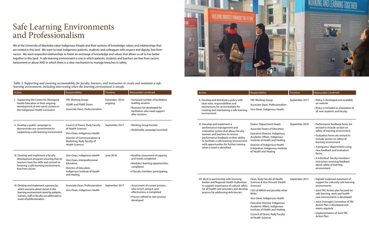### Safe Learning Environments and Professionalism

We at the University of Manitoba value Indigenous People and their systems of knowledge, values and relationships that are rooted in this land. We want to treat Indigenous patients, students and colleagues with respect and dignity, free from racism. We want respectful relationships to foster an exchange of knowledge and values that allows us all to live better together in this land. A safe learning environment is one in which patients, students and teachers are free from racism, harassment or abuse AND in which there is a clear mechanism to manage breaches in safety.



*Table 3: Supporting and ensuring accountability for faculty, learners, and instructors to create and maintain a safe learning environment, including intervening when the learning environment is unsafe.*

| Action                                                                                                                                                    | Responsibility                                                                                                                                                      | Timeline                  | Measurable Landmark                                                                                                                        | Action                                                                                                                                                                                                                                                                                                                                                                                                                                                                                                                                                                                        | Responsibility                                                                                    | Timeline       | Measurable Landmark                                                                                                         |
|-----------------------------------------------------------------------------------------------------------------------------------------------------------|---------------------------------------------------------------------------------------------------------------------------------------------------------------------|---------------------------|--------------------------------------------------------------------------------------------------------------------------------------------|-----------------------------------------------------------------------------------------------------------------------------------------------------------------------------------------------------------------------------------------------------------------------------------------------------------------------------------------------------------------------------------------------------------------------------------------------------------------------------------------------------------------------------------------------------------------------------------------------|---------------------------------------------------------------------------------------------------|----------------|-----------------------------------------------------------------------------------------------------------------------------|
| I. Supporting the Centre for Aboriginal<br>Health Education in their ongoing<br>development of anti-racist content in<br>the Indigenous Health curriculum | <b>TRC Working Group</b><br><b>UGME and PGME Deans</b><br>Associate Dean, Professionalism                                                                           | December 2016-<br>ongoing | · Increased number of facilitators<br>leading sessions<br>• Resource list developed for<br>facilitators who need support<br>after sessions | V. Develop and distribute a policy with<br>clear roles, responsibilities and<br>mechanisms for accountability for<br>creating and maintaining a safe learning<br>environment                                                                                                                                                                                                                                                                                                                                                                                                                  | <b>TRC Working Group</b><br>Associate Dean, Professionalism<br>Vice-Dean, Indigenous Health       | September 2017 | • Policy is developed and available<br>on website<br>• Policy is included in orientation of<br>all new students and faculty |
| II. Develop a public campaign to<br>demonstrate our commitment to<br>supporting a safe learning environment                                               | Council of Deans, Rady Faculty<br>of Health Sciences<br>Vice-Dean, Indigenous Health                                                                                | September 2017            | • Working Group formed<br>• Multimedia campaign launched                                                                                   | VI. Develop and implement a<br>Deans/Department Heads<br>September 2018<br>performance management and<br><b>Associate Deans of Education</b><br>evaluation system that allows faculty,<br>Executive Director, Indigenous<br>learners and teachers to receive<br>Academic Affairs, Indigenous<br>performance feedback on their ability<br>Institute of Health and Healing<br>to facilitate a safe learning environment<br>with opportunities for further training<br>Director of Indigenous Health<br>when a need is identified.<br>Integration, Indigenous Institute<br>of Health and Healing |                                                                                                   |                | • Performance feedback forms are<br>revised to include section on<br>safety of learning environment                         |
|                                                                                                                                                           | Director of Communications &<br>Marketing, Rady Faculty of                                                                                                          |                           |                                                                                                                                            |                                                                                                                                                                                                                                                                                                                                                                                                                                                                                                                                                                                               | • Evaluation forms are revised to<br>include section on safety of<br>learning environment         |                |                                                                                                                             |
|                                                                                                                                                           | <b>Health Sciences</b>                                                                                                                                              |                           |                                                                                                                                            |                                                                                                                                                                                                                                                                                                                                                                                                                                                                                                                                                                                               |                                                                                                   |                | • # programs/ departments using<br>new feedback and evaluation<br>forms                                                     |
| III. Develop and implement a faculty<br>development program ensuring that all<br>teachers have the skills and commit to                                   | Vice-Dean, Indigenous Health                                                                                                                                        | June 2018                 | · Baseline assessment of capacity<br>and needs completed<br>• Modules/ learning opportunities                                              |                                                                                                                                                                                                                                                                                                                                                                                                                                                                                                                                                                                               |                                                                                                   |                | • # individual faculty members/                                                                                             |
|                                                                                                                                                           | Vice-Dean, Interprofessional<br>Education                                                                                                                           |                           |                                                                                                                                            |                                                                                                                                                                                                                                                                                                                                                                                                                                                                                                                                                                                               |                                                                                                   |                | instructors receiving feedback<br>about safety of learning                                                                  |
| free from racism.                                                                                                                                         | fostering a safe learning environment,<br>completed<br>Director of Education.<br>Indigenous Institute of Health<br>• # faculty members participating<br>and Healing |                           |                                                                                                                                            |                                                                                                                                                                                                                                                                                                                                                                                                                                                                                                                                                                                               | environment                                                                                       |                |                                                                                                                             |
| IV. Develop and implement a process by                                                                                                                    | Associate Dean, Professionalism                                                                                                                                     | September 2017            | • Assessment of current process,                                                                                                           | VII. Work in partnership with licensing<br>bodies and Regional Health Authorities<br>to support importance of cultural safety                                                                                                                                                                                                                                                                                                                                                                                                                                                                 | Dean, Rady Faculty of Health<br>Sciences & Vice-Provost (Health<br>Sciences)                      | September 2017 | · Signed/ endorsed statement of<br>support for culturally safe learning<br>environments                                     |
| which concerns about racism in the<br>learning environment raised by patients,                                                                            | Vice-Dean, Indigenous Health                                                                                                                                        |                           | who is/isn't using it, and<br>effectiveness is completed                                                                                   | process for addressing deficiencies.                                                                                                                                                                                                                                                                                                                                                                                                                                                                                                                                                          | for all health care providers and develop<br>CEO of WRHA and possibly other<br><b>RHAs</b>        |                | • Joint TRC Action plan focused on<br>safe learning, work and health<br>care environments is developed                      |
| learners, staff or faculty are addressed as<br>issues of professionalism                                                                                  |                                                                                                                                                                     |                           | • Process refined or new process                                                                                                           |                                                                                                                                                                                                                                                                                                                                                                                                                                                                                                                                                                                               | Vice-Dean, Indigenous Health                                                                      |                |                                                                                                                             |
|                                                                                                                                                           |                                                                                                                                                                     |                           | developed                                                                                                                                  |                                                                                                                                                                                                                                                                                                                                                                                                                                                                                                                                                                                               | Executive Director, Indigenous<br>Academic Affairs, Indigenous<br>Institute of Health and Healing |                | • Joint Oversight Committee of TRC<br>Action Plan is developed and<br>meets regularly                                       |
|                                                                                                                                                           |                                                                                                                                                                     |                           |                                                                                                                                            |                                                                                                                                                                                                                                                                                                                                                                                                                                                                                                                                                                                               | Council of Deans, Rady Faculty<br>of Health Sciences                                              |                | • Implementation of Joint TRC<br><b>Action Plan</b>                                                                         |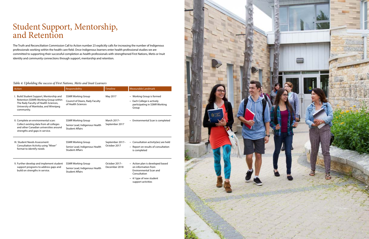### Student Support, Mentorship, and Retention

The Truth and Reconciliation Commission Call to Action number 23 explicitly calls for increasing the number of Indigenous professionals working within the health care field. Once Indigenous learners enter health professional studies we are committed to supporting their successful completion as health professionals with strengthened First Nations, Metis or Inuit identity and community connections through support, mentorship and retention.

#### *Table 4: Upholding the success of First Nations, Metis and Inuit Learners*

| Action                                                                                                                                                                          | Responsibility                                                                        | <b>Timeline</b>                 | Measurable Landmark                                                                                                                                        |
|---------------------------------------------------------------------------------------------------------------------------------------------------------------------------------|---------------------------------------------------------------------------------------|---------------------------------|------------------------------------------------------------------------------------------------------------------------------------------------------------|
| I. Build Student Support, Mentorship and<br>Retention (SSMR) Working Group within<br>The Rady Faculty of Health Sciences,<br>University of Manitoba, and Winnipeg<br>community. | <b>SSMR Working Group</b><br>Council of Deans, Rady Faculty<br>of Health Sciences     | May 2017                        | • Working Group is formed<br>• Each College is actively<br>participating in SSMR Working<br>Group                                                          |
| II. Complete an environmental scan:<br>Collect existing data from all colleges<br>and other Canadian universities around<br>strengths and gaps in service.                      | <b>SSMR Working Group</b><br>Senior Lead, Indigenous Health<br><b>Student Affairs</b> | March 2017-<br>September 2017   | • Environmental Scan is completed                                                                                                                          |
| III. Student Needs Assessment:<br>Consultation Activity using "Mixer"<br>format to identify needs                                                                               | <b>SSMR Working Group</b><br>Senior Lead, Indigenous Health<br><b>Student Affairs</b> | September 2017-<br>October 2017 | • Consultation activity(ies) are held<br>• Report on results of consultation<br>is completed                                                               |
| V. Further develop and implement student<br>support programs to address gaps and<br>build on strengths in service.                                                              | <b>SSMR Working Group</b><br>Senior Lead, Indigenous Health<br><b>Student Affairs</b> | October 2017-<br>December 2018  | • Action plan is developed based<br>on information from<br><b>Environmental Scan and</b><br>Consultation<br>• #/ type of new student<br>support activities |

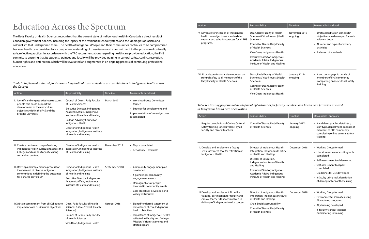*Table 5: Implement a shared pre-licensure longitudinal core curriculum or core objectives in Indigenous health across the Colleges*

|                                                                                                                               | Responsibility                                                                                    | Timeline                  | Measurable Landmark                                                                                              |
|-------------------------------------------------------------------------------------------------------------------------------|---------------------------------------------------------------------------------------------------|---------------------------|------------------------------------------------------------------------------------------------------------------|
| V. Advocate for inclusion of Indigenous<br>health core objectives/ standards in<br>national accreditation process for all FHS | Dean, Rady Faculty of Health<br>Sciences & Vice-Provost (Health<br>Sciences)                      | November 2018-<br>ongoing | • Draft accreditation standards/<br>objectives are developed for each<br>relevant body                           |
| programs.                                                                                                                     | Council of Deans, Rady Faculty<br>of Health Sciences                                              |                           | • Number and type of advocacy<br>activities                                                                      |
|                                                                                                                               | Vice-Dean, Indigenous Health                                                                      |                           | • Inclusion of standards                                                                                         |
|                                                                                                                               | Executive Director, Indigenous<br>Academic Affairs, Indigenous<br>Institute of Health and Healing |                           |                                                                                                                  |
| VI. Provide professional development on<br>cultural safety to all members of the<br>Rady Faculty of Health Sciences.          | Dean, Rady Faculty of Health<br>Sciences & Vice-Provost (Health<br>Sciences)                      | January 2017-<br>ongoing  | • # and demographic details of<br>members of FHS community<br>completing online cultural safety                  |
|                                                                                                                               | Council of Deans, Rady Faculty<br>of Health Sciences                                              |                           | training                                                                                                         |
|                                                                                                                               | Vice-Dean, Indigenous Health                                                                      |                           |                                                                                                                  |
|                                                                                                                               | Council of Deans, Rady Faculty                                                                    |                           |                                                                                                                  |
| I. Require completion of Online Cultural<br>Safety training (or equivalent) by all<br>faculty and clinical teachers           | of Health Sciences                                                                                | January 2017-<br>ongoing  | • # and demographic details (e.g.                                                                                |
|                                                                                                                               |                                                                                                   |                           | staff type, department, college) of<br>members of FHS community<br>completing online cultural safety<br>training |
| II. Develop and implement a faculty                                                                                           | Director of Indigenous Health                                                                     | December 2018             | • Working Group formed                                                                                           |
| self-assessment tool for reflection on<br>Indigenous Health                                                                   | Integration, Indigenous Institute<br>of Health and Healing                                        |                           | • Literature review of existing tools<br>completed                                                               |
|                                                                                                                               | Director of Education,<br>Indigenous Institute of Health                                          |                           | • Self-assessment tool developed                                                                                 |
|                                                                                                                               | and Healing<br>Executive Director, Indigenous                                                     |                           | • Self-assessment tool pilot<br>completed                                                                        |
|                                                                                                                               | Academic Affairs, Indigenous<br>Institute of Health and Healing                                   |                           |                                                                                                                  |
|                                                                                                                               |                                                                                                   |                           | • Guidelines for use developed<br>• # faculty using tool, description<br>of demographics of those using          |
| III. Develop and implement ALLY-like                                                                                          | Director of Indigenous Health                                                                     | December 2018             | • Working Group formed                                                                                           |
| training/ certification for faculty and<br>clinical teachers that are involved in                                             | Integration, Indigenous Institute<br>of Health and Healing                                        |                           |                                                                                                                  |
| delivery of Indigenous Health content.                                                                                        | Chair, Social Accountability                                                                      |                           | • Environmental scan of existing<br>Ally training programs<br>• Ally training developed                          |

| Action                                                                                                  | Responsibility                                                                                                             | Timeline       | Measurable Landmark                                                                   |
|---------------------------------------------------------------------------------------------------------|----------------------------------------------------------------------------------------------------------------------------|----------------|---------------------------------------------------------------------------------------|
| I. Identify and engage existing structures<br>people that could support the                             | Council of Deans, Rady Faculty<br>of Health Sciences                                                                       | March 2017     | • Working Group/ Committee<br>formed                                                  |
| development of the curriculum<br>objectives within the FHS and the<br>broader university                | Executive Director, Indigenous<br>Academic Affairs, Indigenous<br>Institute of Health and Healing                          |                | • Strategy for development and<br>implementation of core objectives<br>is completed   |
|                                                                                                         | College Advisory Council on<br>Indigenous Health                                                                           |                |                                                                                       |
|                                                                                                         | Director of Indigenous Health<br>Integration, Indigenous Institute<br>of Health and Healing                                |                |                                                                                       |
| II. Create a curriculum map of existing                                                                 | Director of Indigenous Health                                                                                              | December 2017  | • Map is completed                                                                    |
| Indigenous Health curriculum across the<br>Colleges and a repository of existing<br>curriculum content. | Integration, Indigenous Institute<br>of Health and Healing                                                                 |                | • Repository is available                                                             |
| III. Develop and implement a process for<br>involvement of diverse Indigenous                           | Director of Indigenous Health<br>Integration, Indigenous Institute                                                         | September 2018 | • Community engagement plan<br>developed                                              |
| communities in defining the outcomes<br>for a shared curriculum                                         | of Health and Healing<br>Executive Director, Indigenous<br>Academic Affairs, Indigenous<br>Institute of Health and Healing |                | • # gatherings/ community<br>engagement events                                        |
|                                                                                                         |                                                                                                                            |                | • Demographics of people<br>involved in community events                              |
|                                                                                                         |                                                                                                                            |                | • Core objectives developed and<br>widely distributed                                 |
| IV.Obtain commitment from all Colleges to<br>implement core curriculum/objectives                       | October 2018<br>Dean, Rady Faculty of Health<br>Sciences & Vice-Provost (Health<br>Sciences)                               |                | • Signed/ endorsed statement of<br>importance of core Indigenous<br>health objectives |
|                                                                                                         | Council of Deans, Rady Faculty<br>of Health Sciences                                                                       |                | • Importance of Indigenous health<br>reflected in Faculty and Colleges                |
|                                                                                                         | Vice-Dean, Indigenous Health                                                                                               |                | Mission/Vision statements and<br>strategic plans                                      |

## Education Across the Spectrum

The Rady Faculty of Health Sciences recognizes that the current state of Indigenous health in Canada is a direct result of Canadian government policies, including the legacy of the residential school system, and the ideologies of racism and colonialism that underpinned them. The health of Indigenous People and their communities continues to be compromised because health care providers lack a deeper understanding of these issues and a commitment to the provision of culturally safe, reflective practice. In accordance with the TRC recommendations regarding health care provider education, the FHS commits to ensuring that its students, trainees and faculty will be provided training in cultural safety, conflict resolution, human rights and anti-racism, which will be evaluated and augmented in an ongoing process of continuing professional education.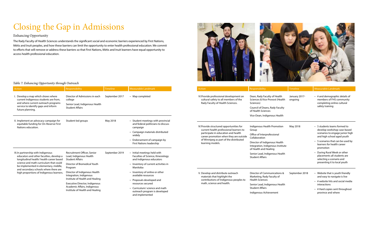## Closing the Gap in Admissions

#### Enhancing Opportunity

| Action                                                                                                                                                                                                                                                                                              | <b>Responsibility</b>                                                            | Timeline                                                                                                    | Measurable Landmark                                                                           | Action                                                                                                                                    |                                                                                  |
|-----------------------------------------------------------------------------------------------------------------------------------------------------------------------------------------------------------------------------------------------------------------------------------------------------|----------------------------------------------------------------------------------|-------------------------------------------------------------------------------------------------------------|-----------------------------------------------------------------------------------------------|-------------------------------------------------------------------------------------------------------------------------------------------|----------------------------------------------------------------------------------|
| Develop a map which shows where<br>current Indigenous students are from,<br>and where current outreach programs<br>service to identify gaps and inform<br>future planning.                                                                                                                          | Director of Admissions in each<br>college                                        | September 2017                                                                                              | • Map completed                                                                               | Rady Faculty of Health Sciences.                                                                                                          | VI. Provide professional development on<br>cultural safety to all members of the |
|                                                                                                                                                                                                                                                                                                     | Senior Lead, Indigenous Health<br><b>Student Affairs</b>                         |                                                                                                             |                                                                                               |                                                                                                                                           |                                                                                  |
|                                                                                                                                                                                                                                                                                                     |                                                                                  |                                                                                                             |                                                                                               |                                                                                                                                           |                                                                                  |
| II. Implement an advocacy campaign for<br>equitable funding for On-Reserve First<br>Nations education.                                                                                                                                                                                              | Student-led groups                                                               | May 2018                                                                                                    | • Student meetings with provincial<br>and federal politicians to discuss<br>campaign          | IV. Provide structured opportunities for                                                                                                  |                                                                                  |
|                                                                                                                                                                                                                                                                                                     |                                                                                  | • Campaign materials distributed<br>widely<br>Endorsement of campaign by<br><b>First Nations leadership</b> |                                                                                               | current health professional learners to<br>participate in education and health<br>career promotion when they are outside                  |                                                                                  |
|                                                                                                                                                                                                                                                                                                     |                                                                                  |                                                                                                             |                                                                                               | learning models.                                                                                                                          | of Winnipeg as part of the distributed                                           |
| III. In partnership with Indigenous<br>educators and other faculties, develop a<br>longitudinal health/ health career based<br>science and math curriculum that could<br>be implemented in elementary, middle,<br>and secondary schools where there are<br>high proportions of Indigenous learners. | Recruitment Officer, Senior<br>Lead, Indigenous Health<br><b>Student Affairs</b> | September 2019                                                                                              | • Initial meetings held with<br>Faculties of Science, Kinesiology<br>and Indigenous educators |                                                                                                                                           |                                                                                  |
|                                                                                                                                                                                                                                                                                                     | Director of Biomedical Youth<br>Program                                          |                                                                                                             | • Inventory of current activities in<br>Manitoba                                              |                                                                                                                                           |                                                                                  |
|                                                                                                                                                                                                                                                                                                     | Director of Indigenous Health<br>Integration, Indigenous                         |                                                                                                             | • Inventory of online or other<br>available resources                                         | V. Develop and distribute outreach<br>materials that highlight the<br>contributions of Indigenous peoples to<br>math, science and health. |                                                                                  |
|                                                                                                                                                                                                                                                                                                     | Institute of Health and Healing                                                  |                                                                                                             | • Proposals developed and<br>resources secured                                                |                                                                                                                                           |                                                                                  |
|                                                                                                                                                                                                                                                                                                     | Executive Director, Indigenous<br>Academic Affairs, Indigenous                   |                                                                                                             | • Curriculum/science and math                                                                 |                                                                                                                                           |                                                                                  |
|                                                                                                                                                                                                                                                                                                     | Institute of Health and Healing                                                  |                                                                                                             | outreach program is developed<br>and implemented                                              |                                                                                                                                           |                                                                                  |



The Rady Faculty of Health Sciences understands the significant social and economic barriers experienced by First Nations, Métis and Inuit peoples, and how these barriers can limit the opportunity to enter health professional education. We commit to efforts that will remove or address these barriers so that First Nations, Métis and Inuit learners have equal opportunity to access health professional education.

#### *Table 7: Enhancing Opportunity through Outreach*

| <b>Action</b>                                                                                                                                                        | Responsibility                                                                                                                                                       | <b>Timeline</b>          | Measurable Landmark                                                                                                                |
|----------------------------------------------------------------------------------------------------------------------------------------------------------------------|----------------------------------------------------------------------------------------------------------------------------------------------------------------------|--------------------------|------------------------------------------------------------------------------------------------------------------------------------|
| VI.Provide professional development on<br>cultural safety to all members of the<br>Rady Faculty of Health Sciences.                                                  | Dean, Rady Faculty of Health<br>Sciences & Vice-Provost (Health<br>Sciences)<br>Council of Deans, Rady Faculty<br>of Health Sciences<br>Vice-Dean, Indigenous Health | January 2017-<br>ongoing | • # and demographic details of<br>members of FHS community<br>completing online cultural<br>safety training                        |
|                                                                                                                                                                      |                                                                                                                                                                      |                          |                                                                                                                                    |
| IV. Provide structured opportunities for<br>current health professional learners to<br>participate in education and health<br>career promotion when they are outside | Indigenous Health Promotion<br>Group<br>Office of Interprofessional<br>Collaboration                                                                                 | May 2018                 | • 5 students teams formed to<br>develop workshop case-based<br>scenarios to engage junior high<br>and high school aged youth       |
| of Winnipeg as part of the distributed<br>learning models.                                                                                                           | Director of Indigenous Health<br>Integration, Indigenous Institute<br>of Health and Healing                                                                          |                          | • 5 scenarios that can be used by<br>learners for health career<br>promotion                                                       |
|                                                                                                                                                                      | Senior Lead, Indigenous Health<br><b>Student Affairs</b>                                                                                                             |                          | During Rural Week or other<br>$\bullet$<br>placements all students are<br>selecting a scenario and<br>presenting it to local youth |
| V. Develop and distribute outreach<br>materials that highlight the<br>contributions of Indigenous peoples to<br>math, science and health.                            | Director of Communications &<br>Marketing, Rady Faculty of<br><b>Health Sciences</b>                                                                                 | September 2018           | • Website that is youth friendly<br>and easy to navigate is live<br>• # website hits and social media                              |
|                                                                                                                                                                      | Senior Lead, Indigenous Health<br><b>Student Affairs</b>                                                                                                             |                          | interactions<br>• # Hard copies sent throughout                                                                                    |
|                                                                                                                                                                      | Indigenous Achievement                                                                                                                                               |                          | province and where                                                                                                                 |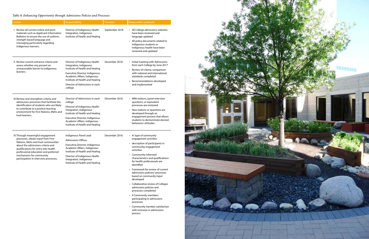| Action                                                                                                                                                                                                                                                                                                    | Responsibility                                                                                                                                                                                                                                         | <b>Timeline</b> | Measurable Landmark                                                                                                                                                                                                                                                                                                                                   |
|-----------------------------------------------------------------------------------------------------------------------------------------------------------------------------------------------------------------------------------------------------------------------------------------------------------|--------------------------------------------------------------------------------------------------------------------------------------------------------------------------------------------------------------------------------------------------------|-----------------|-------------------------------------------------------------------------------------------------------------------------------------------------------------------------------------------------------------------------------------------------------------------------------------------------------------------------------------------------------|
| I. Review all current online and print<br>materials such as Applicant Information<br>Bulletins to ensure the use of uniform,<br>strength-based language and<br>messaging particularly regarding<br>Indigenous learners.                                                                                   | Director of Indigenous Health<br>Integration, Indigenous<br>Institute of Health and Healing                                                                                                                                                            | September 2018  | • All College admissions websites<br>have been reviewed and<br>language updated<br>• All policy documents related to<br>Indigenous students or<br>Indigenous health have been<br>reviewed and updated                                                                                                                                                 |
| II. Review current entrance criteria and<br>assess whether any present an<br>unreasonable barrier to Indigenous<br>learners.                                                                                                                                                                              | Director of Indigenous Health<br>Integration, Indigenous<br>Institute of Health and Healing<br>Executive Director, Indigenous<br>Academic Affairs, Indigenous<br>Institute of Health and Healing<br>Director of Admissions in each<br>college          | December 2018   | • Initial meeting with Admissions<br>from each College by June 2017<br>• Review of criteria, comparison<br>with national and international<br>standards completed<br>Recommendations developed<br>and implemented                                                                                                                                     |
| III. Review and strengthen criteria and<br>admissions processes that facilitate the<br>identification of students who are likely<br>to contribute to a positive learning<br>environment for First Nations, Métis and<br>Inuit learners.                                                                   | Director of Admissions in each<br>college<br>Director of Indigenous Health<br>Integration, Indigenous<br>Institute of Health and Healing<br>Executive Director, Indigenous<br>Academic Affairs, Indigenous<br>Institute of Health and Healing          | December 2018   | MMI stations, panel interview<br>questions, or equivalent<br>processes are reviewed<br>• New stations or questions are<br>developed through an<br>engagement process that allows<br>students to demonstrate desired<br>behaviors/ attitudes                                                                                                           |
| IV. Through meaningful engagement<br>processes, obtain input from First<br>Nations, Métis and Inuit communities<br>about the admissions criteria and<br>qualifications for entry into health<br>professional education and preferred<br>mechanisms for community<br>participation in interview processes. | Indigenous Panel Lead<br><b>Admissions Offices</b><br>Executive Director, Indigenous<br>Academic Affairs, Indigenous<br>Institute of Health and Healing<br>Director of Indigenous Health<br>Integration, Indigenous<br>Institute of Health and Healing | December 2018   | • #/ type of community<br>engagement activities<br>• description of participants in<br>community engagement<br>activities<br>• Community-informed<br>characteristics and qualifications<br>for health professionals are<br>identified<br>• Framework for review of current<br>admissions policies/ processes<br>based on community input<br>developed |

- Collaborative review of Colleges admissions policies and processes completed
- # Community members participating in admissions processes
- Community member satisfaction with inclusion in admissions process



### *Table 8: Enhancing Opportunity through Admissions Policies and Processes*